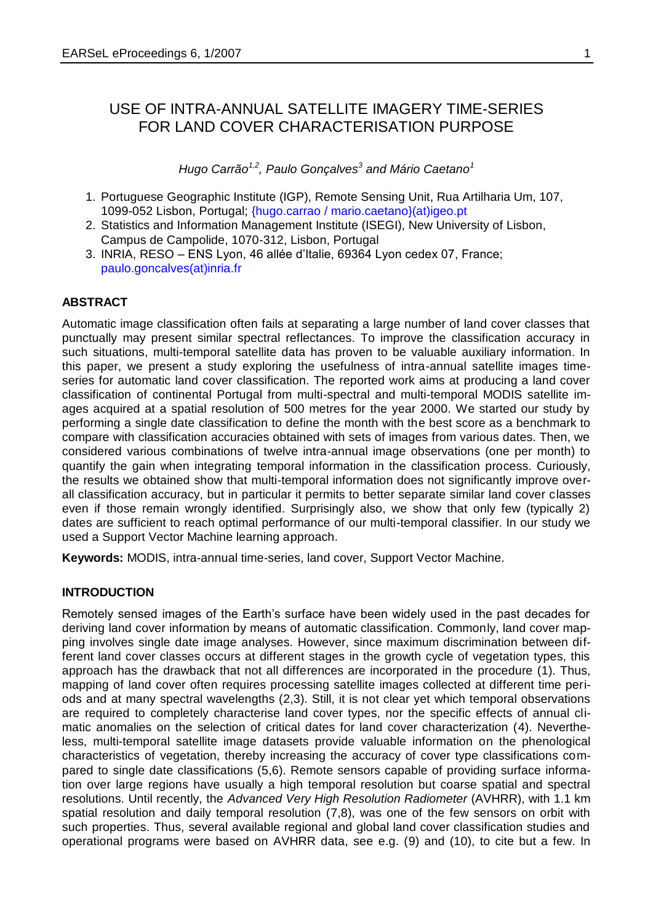# USE OF INTRA-ANNUAL SATELLITE IMAGERY TIME-SERIES FOR LAND COVER CHARACTERISATION PURPOSE

*Hugo Carrão1,2, Paulo Gonçalves<sup>3</sup> and Mário Caetano<sup>1</sup>*

- 1. Portuguese Geographic Institute (IGP), Remote Sensing Unit, Rua Artilharia Um, 107, 1099-052 Lisbon, Portugal; {hugo.carrao / mario.caetano}(at)igeo.pt
- 2. Statistics and Information Management Institute (ISEGI), New University of Lisbon, Campus de Campolide, 1070-312, Lisbon, Portugal
- 3. INRIA, RESO ENS Lyon, 46 allée d'Italie, 69364 Lyon cedex 07, France; paulo.goncalves(at)inria.fr

## **ABSTRACT**

Automatic image classification often fails at separating a large number of land cover classes that punctually may present similar spectral reflectances. To improve the classification accuracy in such situations, multi-temporal satellite data has proven to be valuable auxiliary information. In this paper, we present a study exploring the usefulness of intra-annual satellite images timeseries for automatic land cover classification. The reported work aims at producing a land cover classification of continental Portugal from multi-spectral and multi-temporal MODIS satellite images acquired at a spatial resolution of 500 metres for the year 2000. We started our study by performing a single date classification to define the month with the best score as a benchmark to compare with classification accuracies obtained with sets of images from various dates. Then, we considered various combinations of twelve intra-annual image observations (one per month) to quantify the gain when integrating temporal information in the classification process. Curiously, the results we obtained show that multi-temporal information does not significantly improve overall classification accuracy, but in particular it permits to better separate similar land cover classes even if those remain wrongly identified. Surprisingly also, we show that only few (typically 2) dates are sufficient to reach optimal performance of our multi-temporal classifier. In our study we used a Support Vector Machine learning approach.

**Keywords:** MODIS, intra-annual time-series, land cover, Support Vector Machine.

## **INTRODUCTION**

Remotely sensed images of the Earth's surface have been widely used in the past decades for deriving land cover information by means of automatic classification. Commonly, land cover mapping involves single date image analyses. However, since maximum discrimination between different land cover classes occurs at different stages in the growth cycle of vegetation types, this approach has the drawback that not all differences are incorporated in the procedure (1). Thus, mapping of land cover often requires processing satellite images collected at different time periods and at many spectral wavelengths (2,3). Still, it is not clear yet which temporal observations are required to completely characterise land cover types, nor the specific effects of annual climatic anomalies on the selection of critical dates for land cover characterization (4). Nevertheless, multi-temporal satellite image datasets provide valuable information on the phenological characteristics of vegetation, thereby increasing the accuracy of cover type classifications compared to single date classifications (5,6). Remote sensors capable of providing surface information over large regions have usually a high temporal resolution but coarse spatial and spectral resolutions. Until recently, the *Advanced Very High Resolution Radiometer* (AVHRR), with 1.1 km spatial resolution and daily temporal resolution (7,8), was one of the few sensors on orbit with such properties. Thus, several available regional and global land cover classification studies and operational programs were based on AVHRR data, see e.g. (9) and (10), to cite but a few. In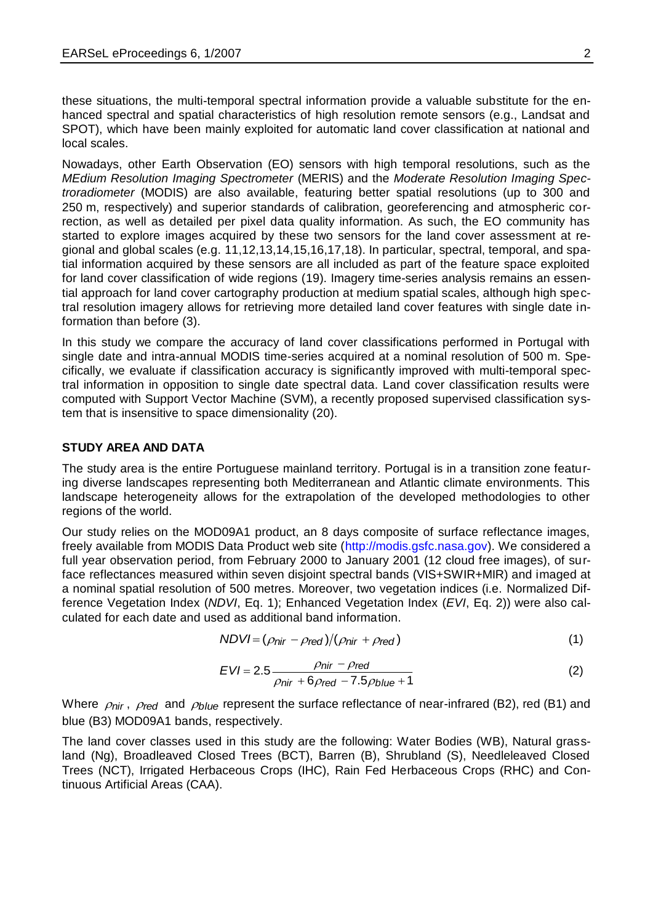these situations, the multi-temporal spectral information provide a valuable substitute for the enhanced spectral and spatial characteristics of high resolution remote sensors (e.g., Landsat and SPOT), which have been mainly exploited for automatic land cover classification at national and local scales.

<span id="page-1-1"></span><span id="page-1-0"></span>Nowadays, other Earth Observation (EO) sensors with high temporal resolutions, such as the *MEdium Resolution Imaging Spectrometer* (MERIS) and the *Moderate Resolution Imaging Spectroradiometer* (MODIS) are also available, featuring better spatial resolutions (up to 300 and 250 m, respectively) and superior standards of calibration, georeferencing and atmospheric correction, as well as detailed per pixel data quality information. As such, the EO community has started to explore images acquired by these two sensors for the land cover assessment at regional and global scales (e.g. 11,12,13,14,15,16,17,18). In particular, spectral, temporal, and spatial information acquired by these sensors are all included as part of the feature space exploited for land cover classification of wide regions (19). Imagery time-series analysis remains an essential approach for land cover cartography production at medium spatial scales, although high spectral resolution imagery allows for retrieving more detailed land cover features with single date information than before (3).

In this study we compare the accuracy of land cover classifications performed in Portugal with single date and intra-annual MODIS time-series acquired at a nominal resolution of 500 m. Specifically, we evaluate if classification accuracy is significantly improved with multi-temporal spectral information in opposition to single date spectral data. Land cover classification results were computed with Support Vector Machine (SVM), a recently proposed supervised classification system that is insensitive to space dimensionality (20).

## **STUDY AREA AND DATA**

The study area is the entire Portuguese mainland territory. Portugal is in a transition zone featuring diverse landscapes representing both Mediterranean and Atlantic climate environments. This landscape heterogeneity allows for the extrapolation of the developed methodologies to other regions of the world.

Our study relies on the MOD09A1 product, an 8 days composite of surface reflectance images, freely available from MODIS Data Product web site [\(http://modis.gsfc.nasa.gov\)](http://modis.gsfc.nasa.gov/). We considered a full year observation period, from February 2000 to January 2001 (12 cloud free images), of surface reflectances measured within seven disjoint spectral bands (VIS+SWIR+MIR) and imaged at a nominal spatial resolution of 500 metres. Moreover, two vegetation indices (i.e. Normalized Difference Vegetation Index (*NDVI*, Eq. 1); Enhanced Vegetation Index (*EVI*, Eq. 2)) were also calculated for each date and used as additional band information.

$$
NDVI = (\rho_{\text{nir}} - \rho_{\text{red}})/(\rho_{\text{nir}} + \rho_{\text{red}})
$$
\n(1)

$$
EVI = 2.5 \frac{\rho_{\text{nir}} - \rho_{\text{red}}}{\rho_{\text{nir}} + 6\rho_{\text{red}} - 7.5\rho_{\text{blue}} + 1}
$$
 (2)

Where  $\rho_{\textit{nir}}$ ,  $\rho_{\textit{red}}$  and  $\rho_{\textit{blue}}$  represent the surface reflectance of near-infrared (B2), red (B1) and blue (B3) MOD09A1 bands, respectively.

The land cover classes used in this study are the following: Water Bodies (WB), Natural grassland (Ng), Broadleaved Closed Trees (BCT), Barren (B), Shrubland (S), Needleleaved Closed Trees (NCT), Irrigated Herbaceous Crops (IHC), Rain Fed Herbaceous Crops (RHC) and Continuous Artificial Areas (CAA).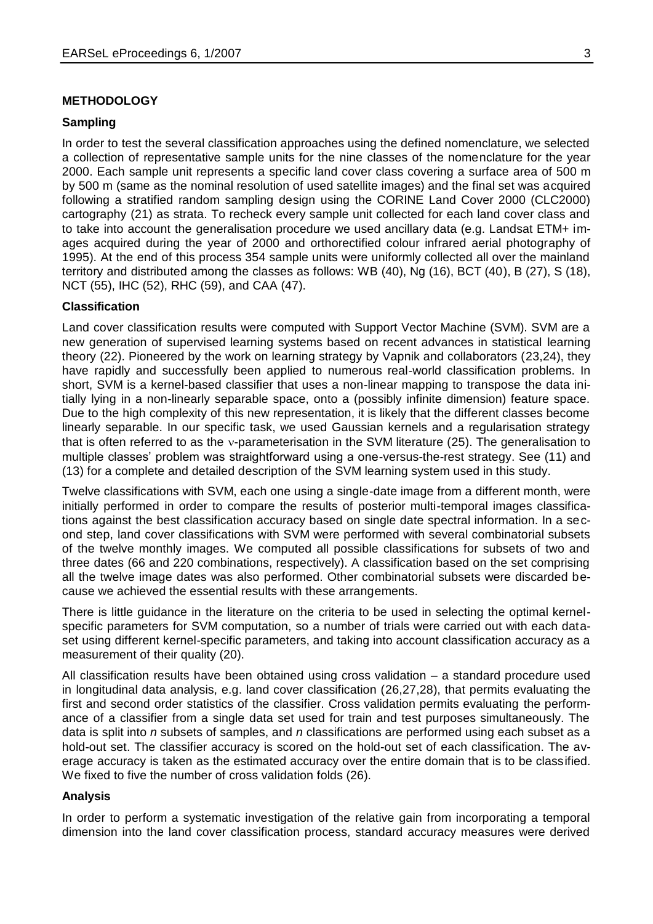#### **METHODOLOGY**

#### **Sampling**

In order to test the several classification approaches using the defined nomenclature, we selected a collection of representative sample units for the nine classes of the nomenclature for the year 2000. Each sample unit represents a specific land cover class covering a surface area of 500 m by 500 m (same as the nominal resolution of used satellite images) and the final set was acquired following a stratified random sampling design using the CORINE Land Cover 2000 (CLC2000) cartography (21) as strata. To recheck every sample unit collected for each land cover class and to take into account the generalisation procedure we used ancillary data (e.g. Landsat ETM+ images acquired during the year of 2000 and orthorectified colour infrared aerial photography of 1995). At the end of this process 354 sample units were uniformly collected all over the mainland territory and distributed among the classes as follows: WB (40), Ng (16), BCT (40), B (27), S (18), NCT (55), IHC (52), RHC (59), and CAA (47).

## **Classification**

Land cover classification results were computed with Support Vector Machine (SVM). SVM are a new generation of supervised learning systems based on recent advances in statistical learning theory (22). Pioneered by the work on learning strategy by Vapnik and collaborators (23,24), they have rapidly and successfully been applied to numerous real-world classification problems. In short, SVM is a kernel-based classifier that uses a non-linear mapping to transpose the data initially lying in a non-linearly separable space, onto a (possibly infinite dimension) feature space. Due to the high complexity of this new representation, it is likely that the different classes become linearly separable. In our specific task, we used Gaussian kernels and a regularisation strategy that is often referred to as the y-parameterisation in the SVM literature (25). The generalisation to multiple classes' problem was straightforward using a one-versus-the-rest strategy. See [\(11\)](#page-1-0) and [\(13\)](#page-1-1) for a complete and detailed description of the SVM learning system used in this study.

Twelve classifications with SVM, each one using a single-date image from a different month, were initially performed in order to compare the results of posterior multi-temporal images classifications against the best classification accuracy based on single date spectral information. In a second step, land cover classifications with SVM were performed with several combinatorial subsets of the twelve monthly images. We computed all possible classifications for subsets of two and three dates (66 and 220 combinations, respectively). A classification based on the set comprising all the twelve image dates was also performed. Other combinatorial subsets were discarded because we achieved the essential results with these arrangements.

There is little guidance in the literature on the criteria to be used in selecting the optimal kernelspecific parameters for SVM computation, so a number of trials were carried out with each dataset using different kernel-specific parameters, and taking into account classification accuracy as a measurement of their quality (20).

All classification results have been obtained using cross validation – a standard procedure used in longitudinal data analysis, e.g. land cover classification (26,27,28), that permits evaluating the first and second order statistics of the classifier. Cross validation permits evaluating the performance of a classifier from a single data set used for train and test purposes simultaneously. The data is split into *n* subsets of samples, and *n* classifications are performed using each subset as a hold-out set. The classifier accuracy is scored on the hold-out set of each classification. The average accuracy is taken as the estimated accuracy over the entire domain that is to be classified. We fixed to five the number of cross validation folds (26).

#### **Analysis**

In order to perform a systematic investigation of the relative gain from incorporating a temporal dimension into the land cover classification process, standard accuracy measures were derived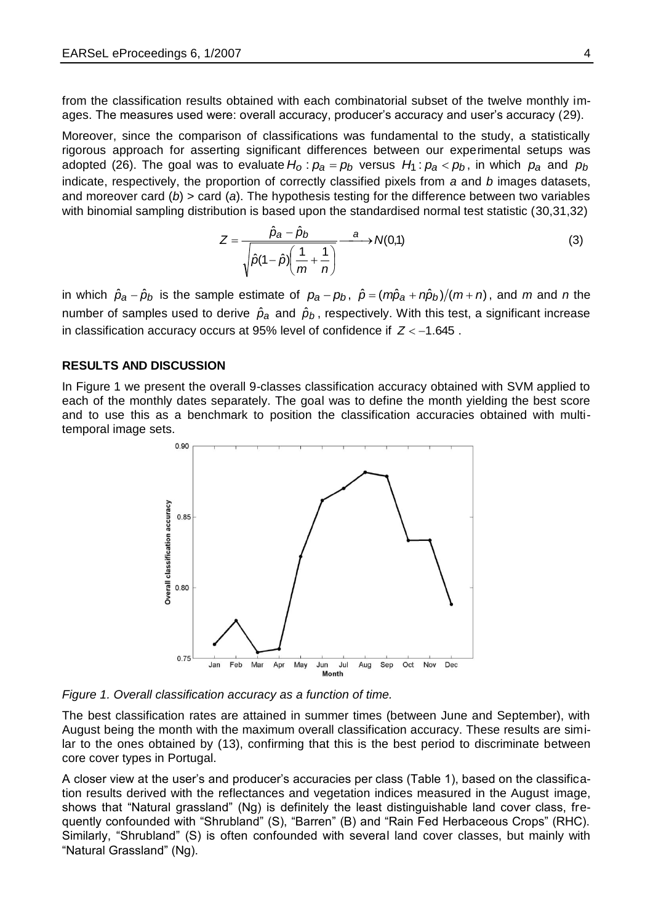from the classification results obtained with each combinatorial subset of the twelve monthly images. The measures used were: overall accuracy, producer's accuracy and user's accuracy (29).

Moreover, since the comparison of classifications was fundamental to the study, a statistically rigorous approach for asserting significant differences between our experimental setups was adopted (26). The goal was to evaluate  $H_o$  :  $p_a = p_b$  versus  $H_1$  :  $p_a < p_b$ , in which  $p_a$  and  $p_b$ indicate, respectively, the proportion of correctly classified pixels from *a* and *b* images datasets, and moreover card (*b*) > card (*a*). The hypothesis testing for the difference between two variables with binomial sampling distribution is based upon the standardised normal test statistic (30.31.32)

$$
Z = \frac{\hat{p}_a - \hat{p}_b}{\sqrt{\hat{p}(1-\hat{p})\left(\frac{1}{m} + \frac{1}{n}\right)}} \xrightarrow{a} N(0,1)
$$
\n(3)

in which  $\hat{p}_a - \hat{p}_b$  is the sample estimate of  $p_a - p_b$ ,  $\hat{p} = (m\hat{p}_a + n\hat{p}_b)/(m + n)$ , and m and n the number of samples used to derive  $\hat{p}_a$  and  $\hat{p}_b$ , respectively. With this test, a significant increase in classification accuracy occurs at 95% level of confidence if  $Z < -1.645$ .

#### **RESULTS AND DISCUSSION**

In Figure 1 we present the overall 9-classes classification accuracy obtained with SVM applied to each of the monthly dates separately. The goal was to define the month yielding the best score and to use this as a benchmark to position the classification accuracies obtained with multitemporal image sets.



*Figure 1. Overall classification accuracy as a function of time.* 

The best classification rates are attained in summer times (between June and September), with August being the month with the maximum overall classification accuracy. These results are similar to the ones obtained by [\(13\)](#page-1-1), confirming that this is the best period to discriminate between core cover types in Portugal.

A closer view at the user's and producer's accuracies per class (Table 1), based on the classification results derived with the reflectances and vegetation indices measured in the August image, shows that "Natural grassland" (Ng) is definitely the least distinguishable land cover class, frequently confounded with "Shrubland" (S), "Barren" (B) and "Rain Fed Herbaceous Crops" (RHC). Similarly, "Shrubland" (S) is often confounded with several land cover classes, but mainly with "Natural Grassland" (Ng).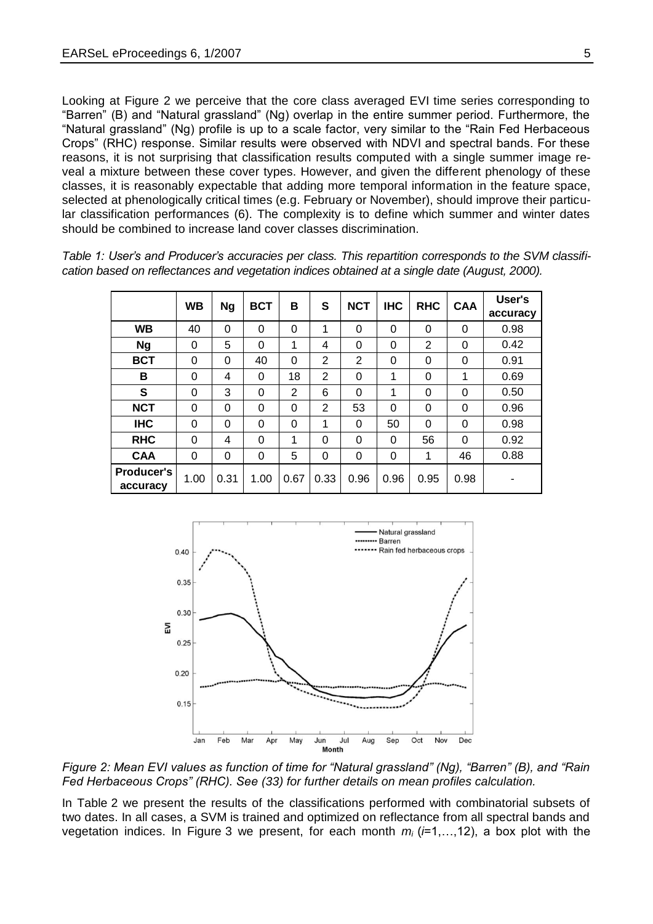Looking at Figure 2 we perceive that the core class averaged EVI time series corresponding to "Barren" (B) and "Natural grassland" (Ng) overlap in the entire summer period. Furthermore, the "Natural grassland" (Ng) profile is up to a scale factor, very similar to the "Rain Fed Herbaceous Crops" (RHC) response. Similar results were observed with NDVI and spectral bands. For these reasons, it is not surprising that classification results computed with a single summer image reveal a mixture between these cover types. However, and given the different phenology of these classes, it is reasonably expectable that adding more temporal information in the feature space, selected at phenologically critical times (e.g. February or November), should improve their particular classification performances (6). The complexity is to define which summer and winter dates should be combined to increase land cover classes discrimination.

|                        | <b>WB</b> | Ng       | <b>BCT</b> | в    | S            | <b>NCT</b> | <b>IHC</b> | <b>RHC</b>     | <b>CAA</b> | User's<br>accuracy |
|------------------------|-----------|----------|------------|------|--------------|------------|------------|----------------|------------|--------------------|
| <b>WB</b>              | 40        | $\Omega$ | 0          | 0    | $\mathbf{1}$ | 0          | $\Omega$   | $\Omega$       | $\Omega$   | 0.98               |
| <b>Ng</b>              | 0         | 5        | 0          | 1    | 4            | 0          | 0          | $\overline{2}$ | $\Omega$   | 0.42               |
| <b>BCT</b>             | $\Omega$  | 0        | 40         | 0    | 2            | 2          | 0          | 0              | $\Omega$   | 0.91               |
| в                      | $\Omega$  | 4        | 0          | 18   | 2            | $\Omega$   | 1          | 0              | 1          | 0.69               |
| S                      | 0         | 3        | 0          | 2    | 6            | 0          | 1          | 0              | $\Omega$   | 0.50               |
| <b>NCT</b>             | $\Omega$  | 0        | 0          | 0    | 2            | 53         | $\Omega$   | 0              | $\Omega$   | 0.96               |
| <b>IHC</b>             | 0         | 0        | 0          | 0    | $\mathbf{1}$ | 0          | 50         | 0              | $\Omega$   | 0.98               |
| <b>RHC</b>             | 0         | 4        | 0          | 1    | 0            | $\Omega$   | $\Omega$   | 56             | $\Omega$   | 0.92               |
| <b>CAA</b>             | 0         | 0        | 0          | 5    | 0            | $\Omega$   | $\Omega$   | 1              | 46         | 0.88               |
| Producer's<br>accuracy | 1.00      | 0.31     | 1.00       | 0.67 | 0.33         | 0.96       | 0.96       | 0.95           | 0.98       |                    |

*Table 1: User's and Producer's accuracies per class. This repartition corresponds to the SVM classification based on reflectances and vegetation indices obtained at a single date (August, 2000).*



*Figure 2: Mean EVI values as function of time for "Natural grassland" (Ng), "Barren" (B), and "Rain Fed Herbaceous Crops" (RHC). See (33) for further details on mean profiles calculation.*

In Table 2 we present the results of the classifications performed with combinatorial subsets of two dates. In all cases, a SVM is trained and optimized on reflectance from all spectral bands and vegetation indices. In Figure 3 we present, for each month *m<sup>i</sup>* (*i*=1,…,12), a box plot with the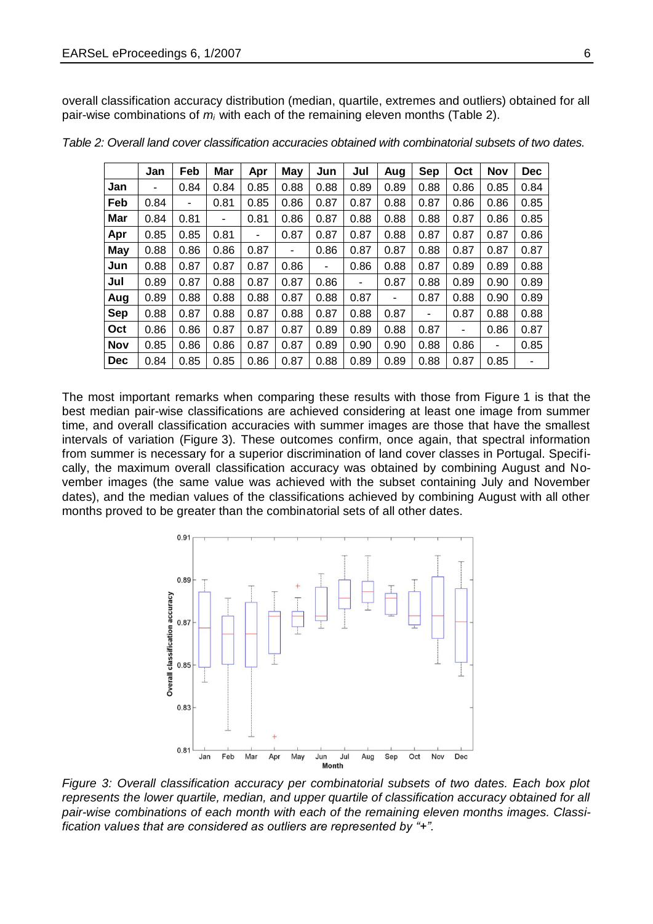overall classification accuracy distribution (median, quartile, extremes and outliers) obtained for all pair-wise combinations of *m<sup>i</sup>* with each of the remaining eleven months (Table 2).

|            | Jan  | Feb  | Mar  | Apr  | May  | Jun  | Jul  | Aug  | <b>Sep</b> | Oct  | Nov  | <b>Dec</b> |
|------------|------|------|------|------|------|------|------|------|------------|------|------|------------|
| Jan        | ۰    | 0.84 | 0.84 | 0.85 | 0.88 | 0.88 | 0.89 | 0.89 | 0.88       | 0.86 | 0.85 | 0.84       |
| Feb        | 0.84 | ٠    | 0.81 | 0.85 | 0.86 | 0.87 | 0.87 | 0.88 | 0.87       | 0.86 | 0.86 | 0.85       |
| Mar        | 0.84 | 0.81 | ٠    | 0.81 | 0.86 | 0.87 | 0.88 | 0.88 | 0.88       | 0.87 | 0.86 | 0.85       |
| Apr        | 0.85 | 0.85 | 0.81 | ۰    | 0.87 | 0.87 | 0.87 | 0.88 | 0.87       | 0.87 | 0.87 | 0.86       |
| May        | 0.88 | 0.86 | 0.86 | 0.87 | ٠    | 0.86 | 0.87 | 0.87 | 0.88       | 0.87 | 0.87 | 0.87       |
| Jun        | 0.88 | 0.87 | 0.87 | 0.87 | 0.86 | ٠    | 0.86 | 0.88 | 0.87       | 0.89 | 0.89 | 0.88       |
| Jul        | 0.89 | 0.87 | 0.88 | 0.87 | 0.87 | 0.86 | ٠    | 0.87 | 0.88       | 0.89 | 0.90 | 0.89       |
| Aug        | 0.89 | 0.88 | 0.88 | 0.88 | 0.87 | 0.88 | 0.87 | ۰    | 0.87       | 0.88 | 0.90 | 0.89       |
| <b>Sep</b> | 0.88 | 0.87 | 0.88 | 0.87 | 0.88 | 0.87 | 0.88 | 0.87 | ٠          | 0.87 | 0.88 | 0.88       |
| Oct        | 0.86 | 0.86 | 0.87 | 0.87 | 0.87 | 0.89 | 0.89 | 0.88 | 0.87       | ٠    | 0.86 | 0.87       |
| <b>Nov</b> | 0.85 | 0.86 | 0.86 | 0.87 | 0.87 | 0.89 | 0.90 | 0.90 | 0.88       | 0.86 | ۰    | 0.85       |
| <b>Dec</b> | 0.84 | 0.85 | 0.85 | 0.86 | 0.87 | 0.88 | 0.89 | 0.89 | 0.88       | 0.87 | 0.85 | ٠          |

*Table 2: Overall land cover classification accuracies obtained with combinatorial subsets of two dates.*

The most important remarks when comparing these results with those from Figure 1 is that the best median pair-wise classifications are achieved considering at least one image from summer time, and overall classification accuracies with summer images are those that have the smallest intervals of variation (Figure 3). These outcomes confirm, once again, that spectral information from summer is necessary for a superior discrimination of land cover classes in Portugal. Specifically, the maximum overall classification accuracy was obtained by combining August and November images (the same value was achieved with the subset containing July and November dates), and the median values of the classifications achieved by combining August with all other months proved to be greater than the combinatorial sets of all other dates.



*Figure 3: Overall classification accuracy per combinatorial subsets of two dates. Each box plot represents the lower quartile, median, and upper quartile of classification accuracy obtained for all pair-wise combinations of each month with each of the remaining eleven months images. Classification values that are considered as outliers are represented by "+".*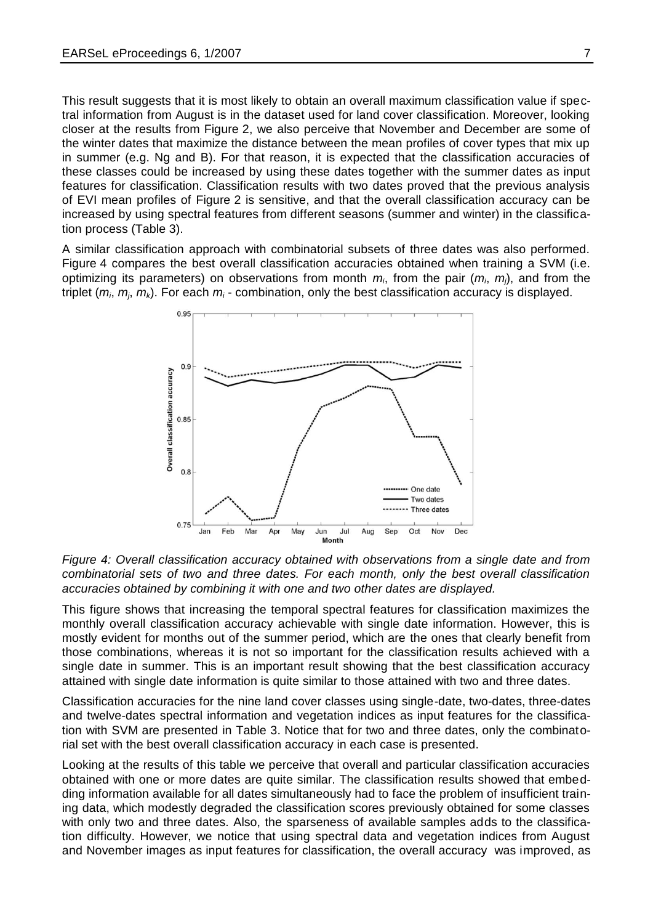This result suggests that it is most likely to obtain an overall maximum classification value if spectral information from August is in the dataset used for land cover classification. Moreover, looking closer at the results from Figure 2, we also perceive that November and December are some of the winter dates that maximize the distance between the mean profiles of cover types that mix up in summer (e.g. Ng and B). For that reason, it is expected that the classification accuracies of these classes could be increased by using these dates together with the summer dates as input features for classification. Classification results with two dates proved that the previous analysis of EVI mean profiles of Figure 2 is sensitive, and that the overall classification accuracy can be increased by using spectral features from different seasons (summer and winter) in the classification process (Table 3).

A similar classification approach with combinatorial subsets of three dates was also performed. Figure 4 compares the best overall classification accuracies obtained when training a SVM (i.e. optimizing its parameters) on observations from month *mi*, from the pair (*mi*, *mj*), and from the triplet (*mi*, *mj*, *mk*). For each *m<sup>i</sup>* - combination, only the best classification accuracy is displayed.



*Figure 4: Overall classification accuracy obtained with observations from a single date and from combinatorial sets of two and three dates. For each month, only the best overall classification accuracies obtained by combining it with one and two other dates are displayed.*

This figure shows that increasing the temporal spectral features for classification maximizes the monthly overall classification accuracy achievable with single date information. However, this is mostly evident for months out of the summer period, which are the ones that clearly benefit from those combinations, whereas it is not so important for the classification results achieved with a single date in summer. This is an important result showing that the best classification accuracy attained with single date information is quite similar to those attained with two and three dates.

Classification accuracies for the nine land cover classes using single-date, two-dates, three-dates and twelve-dates spectral information and vegetation indices as input features for the classification with SVM are presented in Table 3. Notice that for two and three dates, only the combinatorial set with the best overall classification accuracy in each case is presented.

Looking at the results of this table we perceive that overall and particular classification accuracies obtained with one or more dates are quite similar. The classification results showed that embedding information available for all dates simultaneously had to face the problem of insufficient training data, which modestly degraded the classification scores previously obtained for some classes with only two and three dates. Also, the sparseness of available samples adds to the classification difficulty. However, we notice that using spectral data and vegetation indices from August and November images as input features for classification, the overall accuracy was improved, as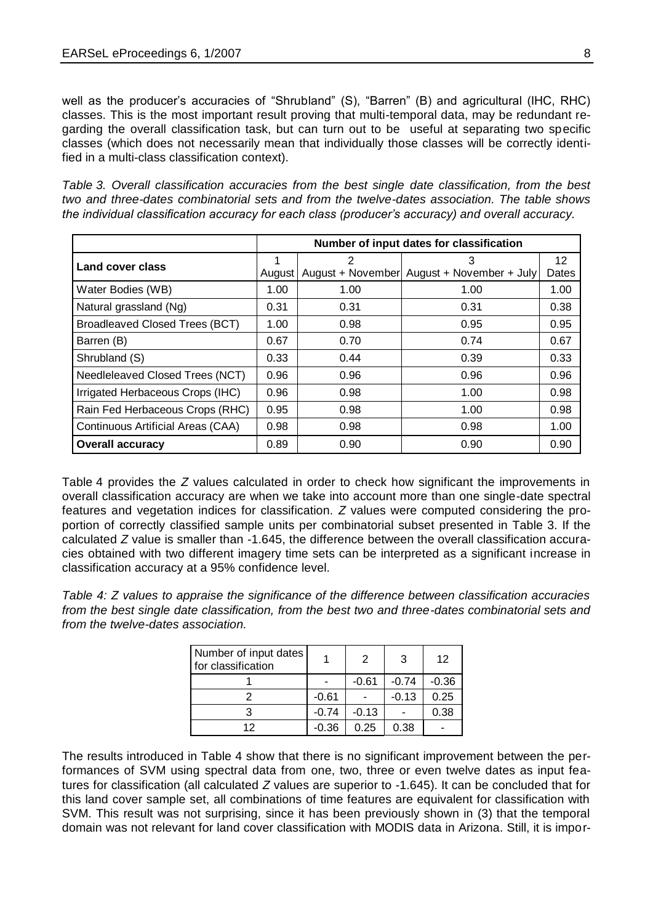well as the producer's accuracies of "Shrubland" (S), "Barren" (B) and agricultural (IHC, RHC) classes. This is the most important result proving that multi-temporal data, may be redundant regarding the overall classification task, but can turn out to be useful at separating two specific classes (which does not necessarily mean that individually those classes will be correctly identified in a multi-class classification context).

*Table 3. Overall classification accuracies from the best single date classification, from the best two and three-dates combinatorial sets and from the twelve-dates association. The table shows the individual classification accuracy for each class (producer's accuracy) and overall accuracy.*

| Number of input dates for classification |        |      |                                            |       |  |
|------------------------------------------|--------|------|--------------------------------------------|-------|--|
| Land cover class                         |        | 2    | З                                          | 12    |  |
|                                          | August |      | August + November August + November + July | Dates |  |
| Water Bodies (WB)                        | 1.00   | 1.00 | 1.00                                       | 1.00  |  |
| Natural grassland (Ng)                   | 0.31   | 0.31 | 0.31                                       | 0.38  |  |
| Broadleaved Closed Trees (BCT)           | 1.00   | 0.98 | 0.95                                       | 0.95  |  |
| Barren (B)                               | 0.67   | 0.70 | 0.74                                       | 0.67  |  |
| Shrubland (S)                            | 0.33   | 0.44 | 0.39                                       | 0.33  |  |
| Needleleaved Closed Trees (NCT)          | 0.96   | 0.96 | 0.96                                       | 0.96  |  |
| Irrigated Herbaceous Crops (IHC)         | 0.96   | 0.98 | 1.00                                       | 0.98  |  |
| Rain Fed Herbaceous Crops (RHC)          | 0.95   | 0.98 | 1.00                                       | 0.98  |  |
| Continuous Artificial Areas (CAA)        | 0.98   | 0.98 | 0.98                                       | 1.00  |  |
| <b>Overall accuracy</b>                  | 0.89   | 0.90 | 0.90                                       | 0.90  |  |

Table 4 provides the *Z* values calculated in order to check how significant the improvements in overall classification accuracy are when we take into account more than one single-date spectral features and vegetation indices for classification. *Z* values were computed considering the proportion of correctly classified sample units per combinatorial subset presented in Table 3. If the calculated *Z* value is smaller than -1.645, the difference between the overall classification accuracies obtained with two different imagery time sets can be interpreted as a significant increase in classification accuracy at a 95% confidence level.

*Table 4: Z values to appraise the significance of the difference between classification accuracies from the best single date classification, from the best two and three-dates combinatorial sets and from the twelve-dates association.* 

| Number of input dates<br>for classification |         | 2       | 3       | 12      |
|---------------------------------------------|---------|---------|---------|---------|
|                                             |         | $-0.61$ | $-0.74$ | $-0.36$ |
|                                             | $-0.61$ |         | $-0.13$ | 0.25    |
|                                             | $-0.74$ | $-0.13$ |         | 0.38    |
| 12                                          | $-0.36$ | 0.25    | 0.38    |         |

The results introduced in Table 4 show that there is no significant improvement between the performances of SVM using spectral data from one, two, three or even twelve dates as input features for classification (all calculated *Z* values are superior to -1.645). It can be concluded that for this land cover sample set, all combinations of time features are equivalent for classification with SVM. This result was not surprising, since it has been previously shown in (3) that the temporal domain was not relevant for land cover classification with MODIS data in Arizona. Still, it is impor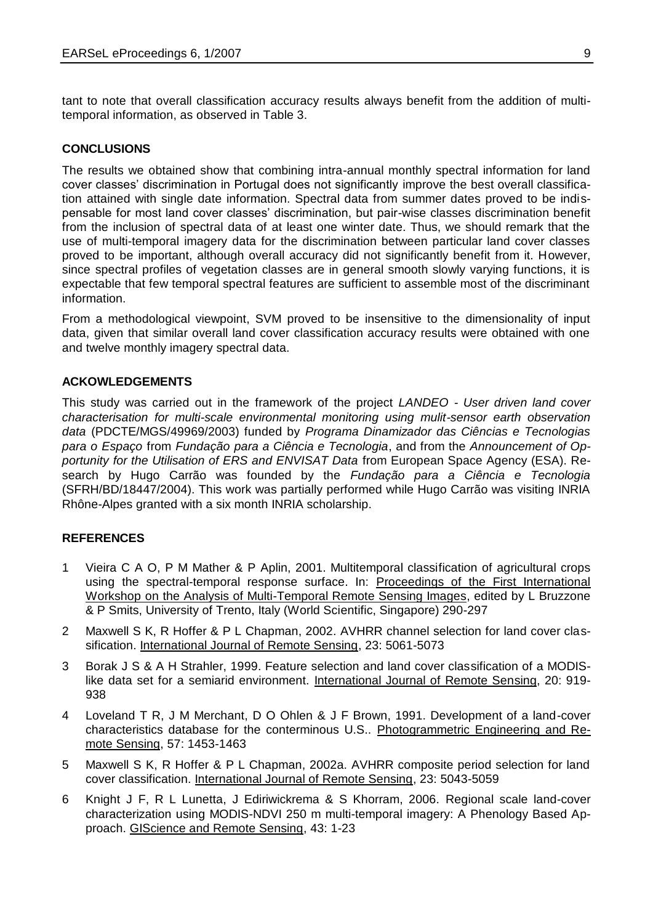tant to note that overall classification accuracy results always benefit from the addition of multitemporal information, as observed in Table 3.

#### **CONCLUSIONS**

The results we obtained show that combining intra-annual monthly spectral information for land cover classes' discrimination in Portugal does not significantly improve the best overall classification attained with single date information. Spectral data from summer dates proved to be indispensable for most land cover classes' discrimination, but pair-wise classes discrimination benefit from the inclusion of spectral data of at least one winter date. Thus, we should remark that the use of multi-temporal imagery data for the discrimination between particular land cover classes proved to be important, although overall accuracy did not significantly benefit from it. However, since spectral profiles of vegetation classes are in general smooth slowly varying functions, it is expectable that few temporal spectral features are sufficient to assemble most of the discriminant information.

From a methodological viewpoint, SVM proved to be insensitive to the dimensionality of input data, given that similar overall land cover classification accuracy results were obtained with one and twelve monthly imagery spectral data.

#### **ACKOWLEDGEMENTS**

This study was carried out in the framework of the project *LANDEO - User driven land cover characterisation for multi-scale environmental monitoring using mulit-sensor earth observation data* (PDCTE/MGS/49969/2003) funded by *Programa Dinamizador das Ciências e Tecnologias para o Espaço* from *Fundação para a Ciência e Tecnologia*, and from the *Announcement of Opportunity for the Utilisation of ERS and ENVISAT Data* from European Space Agency (ESA). Research by Hugo Carrão was founded by the *Fundação para a Ciência e Tecnologia* (SFRH/BD/18447/2004). This work was partially performed while Hugo Carrão was visiting INRIA Rhône-Alpes granted with a six month INRIA scholarship.

## **REFERENCES**

- 1 Vieira C A O, P M Mather & P Aplin, 2001. Multitemporal classification of agricultural crops using the spectral-temporal response surface. In: Proceedings of the First International Workshop on the Analysis of Multi-Temporal Remote Sensing Images, edited by L Bruzzone & P Smits, University of Trento, Italy (World Scientific, Singapore) 290-297
- 2 Maxwell S K, R Hoffer & P L Chapman, 2002. AVHRR channel selection for land cover classification. International Journal of Remote Sensing, 23: 5061-5073
- 3 Borak J S & A H Strahler, 1999. Feature selection and land cover classification of a MODISlike data set for a semiarid environment. International Journal of Remote Sensing, 20: 919- 938
- 4 Loveland T R, J M Merchant, D O Ohlen & J F Brown, 1991. Development of a land-cover characteristics database for the conterminous U.S.. Photogrammetric Engineering and Remote Sensing, 57: 1453-1463
- 5 Maxwell S K, R Hoffer & P L Chapman, 2002a. AVHRR composite period selection for land cover classification. International Journal of Remote Sensing, 23: 5043-5059
- 6 Knight J F, R L Lunetta, J Ediriwickrema & S Khorram, 2006. Regional scale land-cover characterization using MODIS-NDVI 250 m multi-temporal imagery: A Phenology Based Approach. GIScience and Remote Sensing, 43: 1-23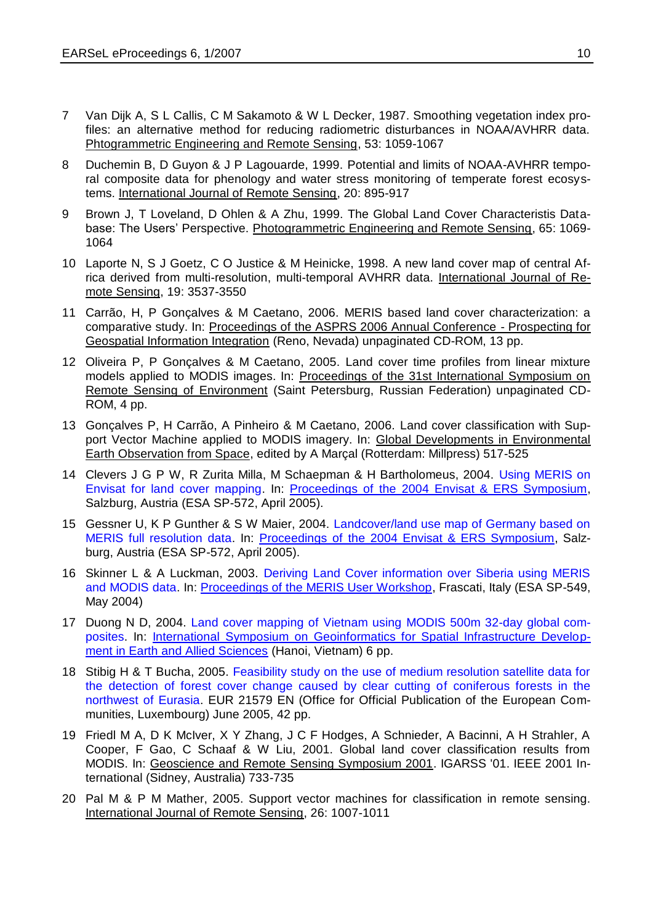- 7 Van Dijk A, S L Callis, C M Sakamoto & W L Decker, 1987. Smoothing vegetation index profiles: an alternative method for reducing radiometric disturbances in NOAA/AVHRR data. Phtogrammetric Engineering and Remote Sensing, 53: 1059-1067
- 8 Duchemin B, D Guyon & J P Lagouarde, 1999. Potential and limits of NOAA-AVHRR temporal composite data for phenology and water stress monitoring of temperate forest ecosystems. International Journal of Remote Sensing, 20: 895-917
- 9 Brown J, T Loveland, D Ohlen & A Zhu, 1999. The Global Land Cover Characteristis Database: The Users' Perspective. Photogrammetric Engineering and Remote Sensing, 65: 1069- 1064
- 10 Laporte N, S J Goetz, C O Justice & M Heinicke, 1998. A new land cover map of central Africa derived from multi-resolution, multi-temporal AVHRR data. International Journal of Remote Sensing, 19: 3537-3550
- 11 Carrão, H, P Gonçalves & M Caetano, 2006. MERIS based land cover characterization: a comparative study. In: Proceedings of the ASPRS 2006 Annual Conference - Prospecting for Geospatial Information Integration (Reno, Nevada) unpaginated CD-ROM, 13 pp.
- 12 Oliveira P, P Gonçalves & M Caetano, 2005. Land cover time profiles from linear mixture models applied to MODIS images. In: Proceedings of the 31st International Symposium on Remote Sensing of Environment (Saint Petersburg, Russian Federation) unpaginated CD-ROM, 4 pp.
- 13 Gonçalves P, H Carrão, A Pinheiro & M Caetano, 2006. Land cover classification with Support Vector Machine applied to MODIS imagery. In: Global Developments in Environmental Earth Observation from Space, edited by A Marçal (Rotterdam: Millpress) 517-525
- 14 Clevers J G P W, R Zurita Milla, M Schaepman & H Bartholomeus, 2004. [Using MERIS on](http://earth.esa.int/workshops/salzburg04/papers_posters/3A2_clevers_240.pdf)  [Envisat for land cover mapping.](http://earth.esa.int/workshops/salzburg04/papers_posters/3A2_clevers_240.pdf) In: [Proceedings of the 2004 Envisat & ERS Symposium,](http://earth.esa.int/workshops/salzburg04/) Salzburg, Austria (ESA SP-572, April 2005).
- 15 Gessner U, K P Gunther & S W Maier, 2004. [Landcover/land use map of Germany based on](http://earth.esa.int/workshops/salzburg04/papers_posters/3P05_12_gessner_461.pdf)  [MERIS full resolution data.](http://earth.esa.int/workshops/salzburg04/papers_posters/3P05_12_gessner_461.pdf) In: [Proceedings of the 2004 Envisat & ERS Symposium,](http://earth.esa.int/workshops/salzburg04/) Salzburg, Austria (ESA SP-572, April 2005).
- 16 Skinner L & A Luckman, 2003. [Deriving Land Cover information over Siberia using MERIS](http://envisat.esa.int/workshops/meris03/participants/45/paper_35_skinner.pdf)  [and MODIS data.](http://envisat.esa.int/workshops/meris03/participants/45/paper_35_skinner.pdf) In: [Proceedings of the MERIS User Workshop,](http://envisat.esa.int/workshops/meris03/MERIS_Abstracts.htm) Frascati, Italy (ESA SP-549, May 2004)
- 17 Duong N D, 2004. [Land cover mapping of Vietnam using](http://gisws.media.osaka-cu.ac.jp/gisideas04/viewpaper.php?id=90) MODIS 500m 32-day global com[posites.](http://gisws.media.osaka-cu.ac.jp/gisideas04/viewpaper.php?id=90) In: [International Symposium on Geoinformatics for Spatial Infrastructure Develop](http://gisws.media.osaka-cu.ac.jp/gisideas04/)[ment in Earth and Allied Sciences](http://gisws.media.osaka-cu.ac.jp/gisideas04/) (Hanoi, Vietnam) 6 pp.
- 18 Stibig H & T Bucha, 2005. [Feasibility study on the use of medium resolution satellite data for](http://www-gvm.jrc.it/tem/PDF_publis/2005/Stibig%20Bucha_detection%20Logging%20Russia_05_full%20text.pdf)  [the detection of forest cover change caused by clear cutting of coniferous forests in the](http://www-gvm.jrc.it/tem/PDF_publis/2005/Stibig%20Bucha_detection%20Logging%20Russia_05_full%20text.pdf)  [northwest of Eurasia.](http://www-gvm.jrc.it/tem/PDF_publis/2005/Stibig%20Bucha_detection%20Logging%20Russia_05_full%20text.pdf) EUR 21579 EN (Office for Official Publication of the European Communities, Luxembourg) June 2005, 42 pp.
- 19 Friedl M A, D K McIver, X Y Zhang, J C F Hodges, A Schnieder, A Bacinni, A H Strahler, A Cooper, F Gao, C Schaaf & W Liu, 2001. Global land cover classification results from MODIS. In: Geoscience and Remote Sensing Symposium 2001. IGARSS '01. IEEE 2001 International (Sidney, Australia) 733-735
- 20 Pal M & P M Mather, 2005. Support vector machines for classification in remote sensing. International Journal of Remote Sensing, 26: 1007-1011